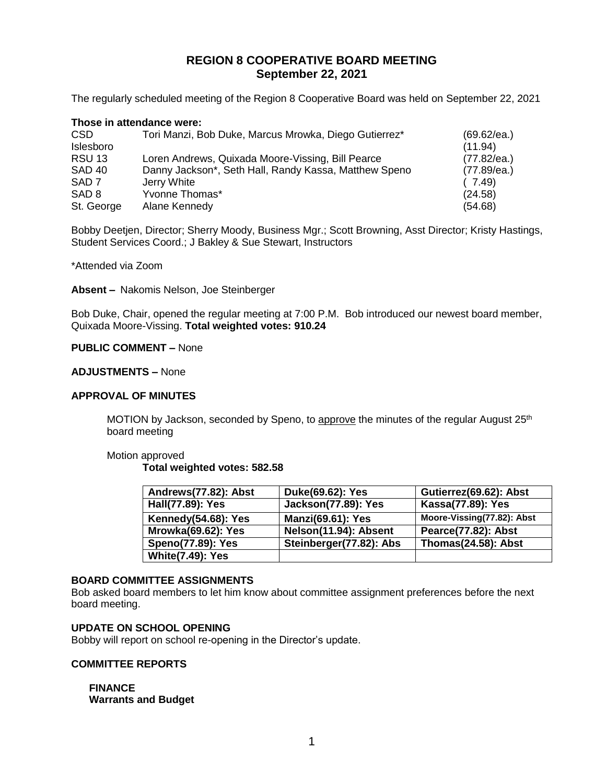# **REGION 8 COOPERATIVE BOARD MEETING September 22, 2021**

The regularly scheduled meeting of the Region 8 Cooperative Board was held on September 22, 2021

### **Those in attendance were:**

| <b>CSD</b>        | Tori Manzi, Bob Duke, Marcus Mrowka, Diego Gutierrez* | (69.62/ea.) |
|-------------------|-------------------------------------------------------|-------------|
| Islesboro         |                                                       | (11.94)     |
| <b>RSU 13</b>     | Loren Andrews, Quixada Moore-Vissing, Bill Pearce     | (77.82/ea.) |
| SAD <sub>40</sub> | Danny Jackson*, Seth Hall, Randy Kassa, Matthew Speno | (77.89/ea.) |
| SAD <sub>7</sub>  | Jerry White                                           | (7.49)      |
| SAD <sub>8</sub>  | Yvonne Thomas*                                        | (24.58)     |
| St. George        | Alane Kennedy                                         | (54.68)     |

Bobby Deetjen, Director; Sherry Moody, Business Mgr.; Scott Browning, Asst Director; Kristy Hastings, Student Services Coord.; J Bakley & Sue Stewart, Instructors

\*Attended via Zoom

**Absent –** Nakomis Nelson, Joe Steinberger

Bob Duke, Chair, opened the regular meeting at 7:00 P.M. Bob introduced our newest board member, Quixada Moore-Vissing. **Total weighted votes: 910.24**

### **PUBLIC COMMENT –** None

### **ADJUSTMENTS –** None

#### **APPROVAL OF MINUTES**

MOTION by Jackson, seconded by Speno, to approve the minutes of the regular August 25<sup>th</sup> board meeting

#### Motion approved **Total weighted votes: 582.58**

| Andrews(77.82): Abst      | Duke(69.62): Yes           | Gutierrez(69.62): Abst     |
|---------------------------|----------------------------|----------------------------|
| Hall(77.89): Yes          | <b>Jackson(77.89): Yes</b> | Kassa(77.89): Yes          |
| Kennedy(54.68): Yes       | <b>Manzi(69.61): Yes</b>   | Moore-Vissing(77.82): Abst |
| <b>Mrowka(69.62): Yes</b> | Nelson(11.94): Absent      | <b>Pearce(77.82): Abst</b> |
| <b>Speno(77.89): Yes</b>  | Steinberger(77.82): Abs    | <b>Thomas(24.58): Abst</b> |
| <b>White(7.49): Yes</b>   |                            |                            |

### **BOARD COMMITTEE ASSIGNMENTS**

Bob asked board members to let him know about committee assignment preferences before the next board meeting.

### **UPDATE ON SCHOOL OPENING**

Bobby will report on school re-opening in the Director's update.

#### **COMMITTEE REPORTS**

**FINANCE Warrants and Budget**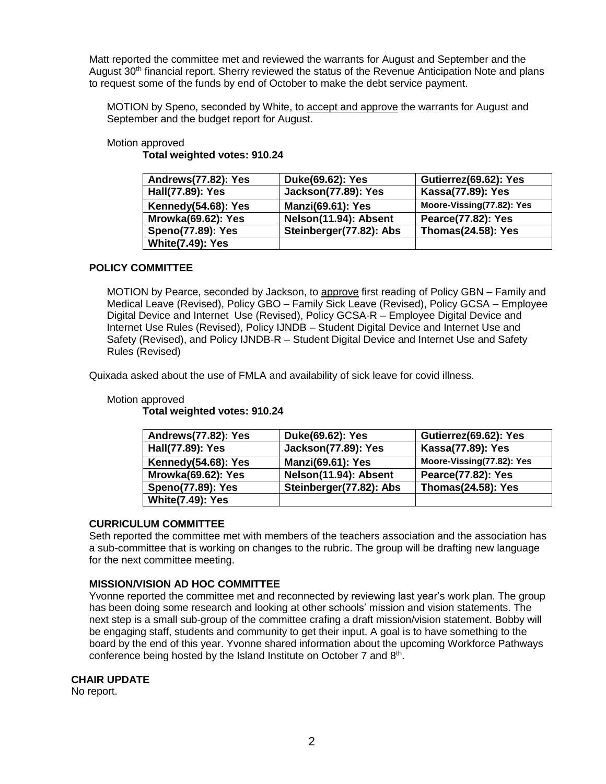Matt reported the committee met and reviewed the warrants for August and September and the August 30<sup>th</sup> financial report. Sherry reviewed the status of the Revenue Anticipation Note and plans to request some of the funds by end of October to make the debt service payment.

MOTION by Speno, seconded by White, to accept and approve the warrants for August and September and the budget report for August.

### Motion approved

**Total weighted votes: 910.24**

| Andrews(77.82): Yes       | Duke(69.62): Yes           | Gutierrez(69.62): Yes     |
|---------------------------|----------------------------|---------------------------|
| Hall(77.89): Yes          | <b>Jackson(77.89): Yes</b> | Kassa(77.89): Yes         |
| Kennedy(54.68): Yes       | <b>Manzi(69.61): Yes</b>   | Moore-Vissing(77.82): Yes |
| <b>Mrowka(69.62): Yes</b> | Nelson(11.94): Absent      | <b>Pearce(77.82): Yes</b> |
| <b>Speno(77.89): Yes</b>  | Steinberger(77.82): Abs    | <b>Thomas(24.58): Yes</b> |
| <b>White(7.49): Yes</b>   |                            |                           |

### **POLICY COMMITTEE**

MOTION by Pearce, seconded by Jackson, to approve first reading of Policy GBN – Family and Medical Leave (Revised), Policy GBO – Family Sick Leave (Revised), Policy GCSA – Employee Digital Device and Internet Use (Revised), Policy GCSA-R – Employee Digital Device and Internet Use Rules (Revised), Policy IJNDB – Student Digital Device and Internet Use and Safety (Revised), and Policy IJNDB-R – Student Digital Device and Internet Use and Safety Rules (Revised)

Quixada asked about the use of FMLA and availability of sick leave for covid illness.

# Motion approved

**Total weighted votes: 910.24**

| Andrews(77.82): Yes      | Duke(69.62): Yes           | Gutierrez(69.62): Yes     |
|--------------------------|----------------------------|---------------------------|
| Hall(77.89): Yes         | <b>Jackson(77.89): Yes</b> | Kassa(77.89): Yes         |
| Kennedy(54.68): Yes      | <b>Manzi(69.61): Yes</b>   | Moore-Vissing(77.82): Yes |
| Mrowka(69.62): Yes       | Nelson(11.94): Absent      | Pearce(77.82): Yes        |
| <b>Speno(77.89): Yes</b> | Steinberger(77.82): Abs    | <b>Thomas(24.58): Yes</b> |
| <b>White(7.49): Yes</b>  |                            |                           |

# **CURRICULUM COMMITTEE**

Seth reported the committee met with members of the teachers association and the association has a sub-committee that is working on changes to the rubric. The group will be drafting new language for the next committee meeting.

# **MISSION/VISION AD HOC COMMITTEE**

Yvonne reported the committee met and reconnected by reviewing last year's work plan. The group has been doing some research and looking at other schools' mission and vision statements. The next step is a small sub-group of the committee crafing a draft mission/vision statement. Bobby will be engaging staff, students and community to get their input. A goal is to have something to the board by the end of this year. Yvonne shared information about the upcoming Workforce Pathways conference being hosted by the Island Institute on October 7 and 8<sup>th</sup>.

### **CHAIR UPDATE**

No report.